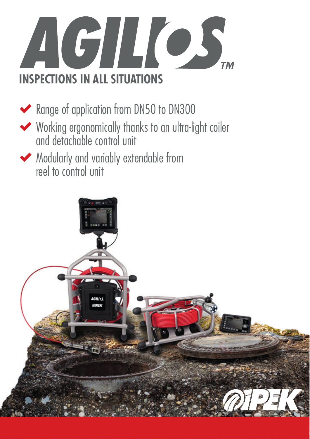

◆ Range of application from DN50 to DN300

- Working ergonomically thanks to an ultra-light coiler and detachable control unit
- Modularly and variably extendable from reel to control unit

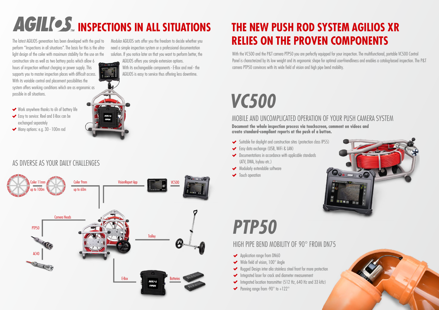#### HIGH PIPE BEND MOBILITY OF 90° FROM DN75

- ◆ Application range from DN60
- $\blacktriangleright$  Wide field of vision,  $100^\circ$  Angle
- Rugged Design inter alia stainless steel front for more protection
- Integrated laser for crack and diameter measurement
- Integrated location transmitter (512 Hz, 640 Hz and 33 kHz)
- Panning range from  $-90^\circ$  to  $+122^\circ$

- Suitable for daylight and construction sites (protection class IP55)
- Easy data exchange (USB, WiFi & LAN)
- Documentations in accordance with applicable standards (ATV, DWA, Isybau etc.)
- Modularly extendable software
- **◆** Touch operation



### **THE NEW PUSH ROD SYSTEM AGILIOS XR RELIES ON THE PROVEN COMPONENTS**

#### MOBILE AND UNCOMPLICATED OPERATION OF YOUR PUSH CAMERA SYSTEM

**Document the whole inspection process via touchscreen, comment on videos and create standard-compliant reports at the push of a button.** 

With the VC500 and the P&T camera PTP50 you are perfectly equipped for your inspection. The multifunctional, portable VC500 Control Panel is characterized by its low weight and its ergonomic shape for optimal user-friendliness and enables a catalog-based inspection. The P&T camera PTP50 convinces with its wide field of vision and high pipe bend mobility.



# **AGILIOS** INSPECTIONS IN ALL SITUATIONS

The latest AGILIOS generation has been developed with the goal to perform "Inspections in all situations". The basis for this is the ultralight design of the coiler with maximum stability for the use on the

construction site as well as two battery packs which allow 6 hours of inspection without charging or power supply. This supports you to master inspection places with difficult access. With its variable control and placement possibilities the system offers working conditions which are as ergonomic as possible in all situations.

Modular AGILIOS sets offer you the freedom to decide whether you need a simple inspection system or a professional documentation solution. If you notice later on that you want to perform better, the

AGILIOS offers you simple extension options. With its exchangeable components - E-Box and reel - the AGILIOS is easy to service thus offering less downtime.

- Work anywhere thanks to 6h of battery life
- Easy to service: Reel and E-Box can be exchanged separately
- Many options: e.g. 30 100m rod



#### AS DIVERSE AS YOUR DAILY CHALLENGES

# *VC500*

# *PTP50*